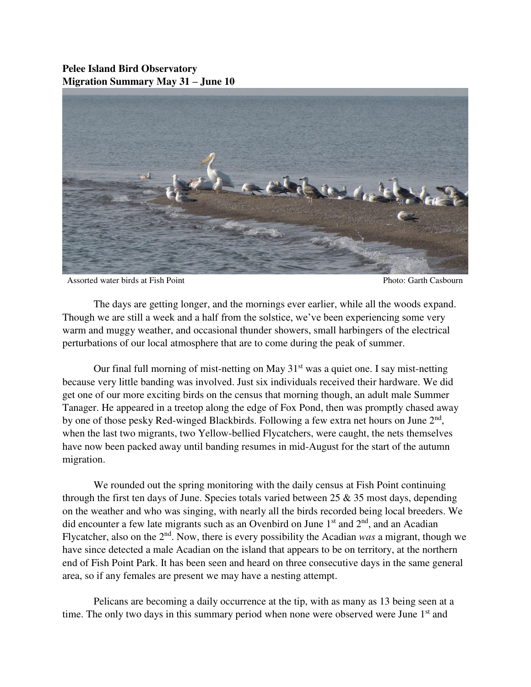## **Pelee Island Bird Observatory Migration Summary May 31 – June 10**



Assorted water birds at Fish Point Photo: Garth Casbourn Photo: Garth Casbourn

 The days are getting longer, and the mornings ever earlier, while all the woods expand. Though we are still a week and a half from the solstice, we've been experiencing some very warm and muggy weather, and occasional thunder showers, small harbingers of the electrical perturbations of our local atmosphere that are to come during the peak of summer.

Our final full morning of mist-netting on May  $31<sup>st</sup>$  was a quiet one. I say mist-netting because very little banding was involved. Just six individuals received their hardware. We did get one of our more exciting birds on the census that morning though, an adult male Summer Tanager. He appeared in a treetop along the edge of Fox Pond, then was promptly chased away by one of those pesky Red-winged Blackbirds. Following a few extra net hours on June 2<sup>nd</sup>, when the last two migrants, two Yellow-bellied Flycatchers, were caught, the nets themselves have now been packed away until banding resumes in mid-August for the start of the autumn migration.

We rounded out the spring monitoring with the daily census at Fish Point continuing through the first ten days of June. Species totals varied between  $25 \& 35$  most days, depending on the weather and who was singing, with nearly all the birds recorded being local breeders. We did encounter a few late migrants such as an Ovenbird on June  $1<sup>st</sup>$  and  $2<sup>nd</sup>$ , and an Acadian Flycatcher, also on the 2nd. Now, there is every possibility the Acadian *was* a migrant, though we have since detected a male Acadian on the island that appears to be on territory, at the northern end of Fish Point Park. It has been seen and heard on three consecutive days in the same general area, so if any females are present we may have a nesting attempt.

Pelicans are becoming a daily occurrence at the tip, with as many as 13 being seen at a time. The only two days in this summary period when none were observed were June 1<sup>st</sup> and